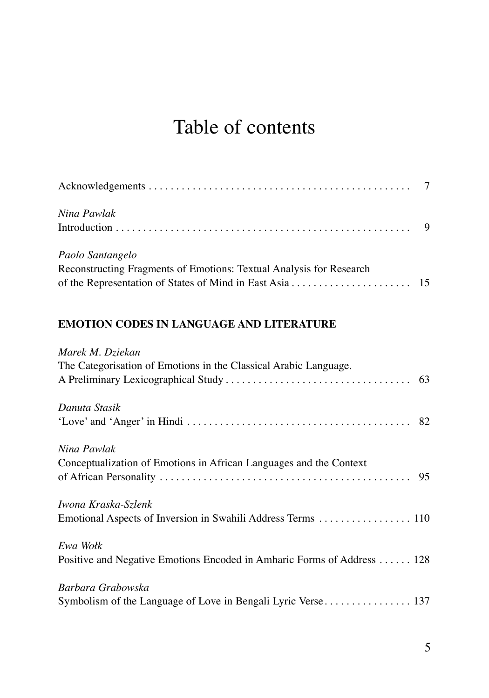## Table of contents

| Nina Pawlak                                                         |  |
|---------------------------------------------------------------------|--|
|                                                                     |  |
| Paolo Santangelo                                                    |  |
| Reconstructing Fragments of Emotions: Textual Analysis for Research |  |
|                                                                     |  |

## **EMOTION CODES IN LANGUAGE AND LITERATURE**

| Marek M. Dziekan                                                        |
|-------------------------------------------------------------------------|
| The Categorisation of Emotions in the Classical Arabic Language.        |
|                                                                         |
| Danuta Stasik                                                           |
|                                                                         |
| Nina Pawlak                                                             |
| Conceptualization of Emotions in African Languages and the Context      |
|                                                                         |
| Iwona Kraska-Szlenk                                                     |
| Emotional Aspects of Inversion in Swahili Address Terms  110            |
| Ewa Wołk                                                                |
| Positive and Negative Emotions Encoded in Amharic Forms of Address  128 |
| Barbara Grabowska                                                       |
|                                                                         |
|                                                                         |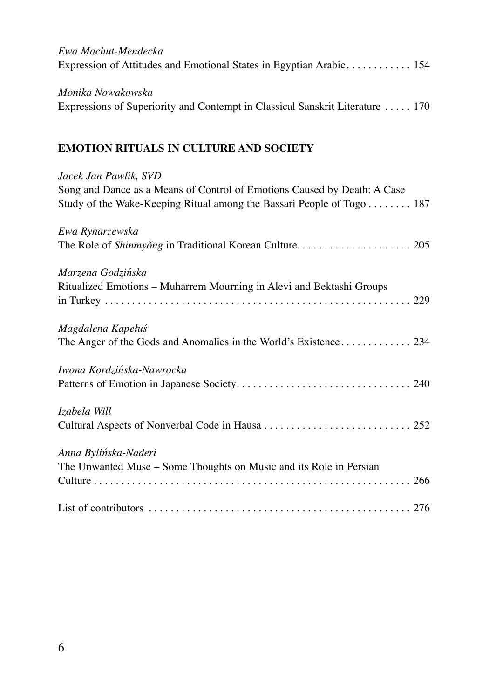| Ewa Machut-Mendecka<br>Expression of Attitudes and Emotional States in Egyptian Arabic 154                                                                                 |
|----------------------------------------------------------------------------------------------------------------------------------------------------------------------------|
| Monika Nowakowska<br>Expressions of Superiority and Contempt in Classical Sanskrit Literature  170                                                                         |
| <b>EMOTION RITUALS IN CULTURE AND SOCIETY</b>                                                                                                                              |
| Jacek Jan Pawlik, SVD<br>Song and Dance as a Means of Control of Emotions Caused by Death: A Case<br>Study of the Wake-Keeping Ritual among the Bassari People of Togo 187 |
| Ewa Rynarzewska                                                                                                                                                            |
| Marzena Godzińska<br>Ritualized Emotions - Muharrem Mourning in Alevi and Bektashi Groups                                                                                  |
| Magdalena Kapełuś                                                                                                                                                          |
| Iwona Kordzińska-Nawrocka                                                                                                                                                  |
| Izabela Will                                                                                                                                                               |
| Anna Bylińska-Naderi<br>The Unwanted Muse - Some Thoughts on Music and its Role in Persian                                                                                 |
|                                                                                                                                                                            |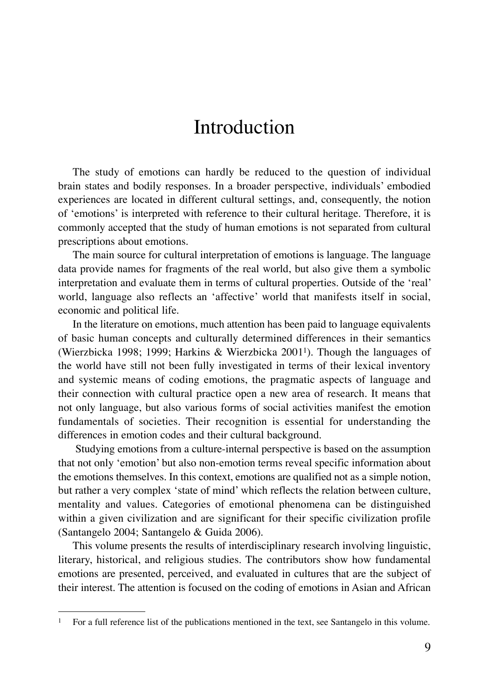## Introduction

The study of emotions can hardly be reduced to the question of individual brain states and bodily responses. In a broader perspective, individuals' embodied experiences are located in different cultural settings, and, consequently, the notion of 'emotions' is interpreted with reference to their cultural heritage. Therefore, it is commonly accepted that the study of human emotions is not separated from cultural prescriptions about emotions.

The main source for cultural interpretation of emotions is language. The language data provide names for fragments of the real world, but also give them a symbolic interpretation and evaluate them in terms of cultural properties. Outside of the 'real' world, language also reflects an 'affective' world that manifests itself in social, economic and political life.

In the literature on emotions, much attention has been paid to language equivalents of basic human concepts and culturally determined differences in their semantics (Wierzbicka 1998; 1999; Harkins & Wierzbicka 2001<sup>1</sup>). Though the languages of the world have still not been fully investigated in terms of their lexical inventory and systemic means of coding emotions, the pragmatic aspects of language and their connection with cultural practice open a new area of research. It means that not only language, but also various forms of social activities manifest the emotion fundamentals of societies. Their recognition is essential for understanding the differences in emotion codes and their cultural background.

 Studying emotions from a culture-internal perspective is based on the assumption that not only 'emotion' but also non-emotion terms reveal specific information about the emotions themselves. In this context, emotions are qualified not as a simple notion, but rather a very complex 'state of mind' which reflects the relation between culture, mentality and values. Categories of emotional phenomena can be distinguished within a given civilization and are significant for their specific civilization profile (Santangelo 2004; Santangelo & Guida 2006).

This volume presents the results of interdisciplinary research involving linguistic, literary, historical, and religious studies. The contributors show how fundamental emotions are presented, perceived, and evaluated in cultures that are the subject of their interest. The attention is focused on the coding of emotions in Asian and African

 $\mathbf{1}$ For a full reference list of the publications mentioned in the text, see Santangelo in this volume.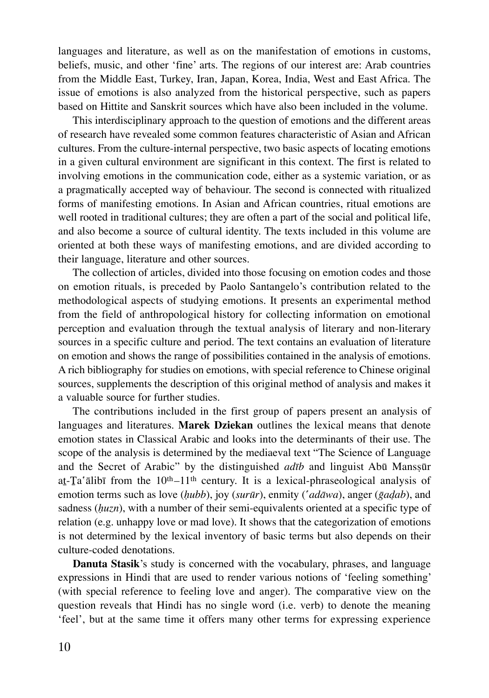languages and literature, as well as on the manifestation of emotions in customs, beliefs, music, and other 'fine' arts. The regions of our interest are: Arab countries from the Middle East, Turkey, Iran, Japan, Korea, India, West and East Africa. The issue of emotions is also analyzed from the historical perspective, such as papers based on Hittite and Sanskrit sources which have also been included in the volume.

This interdisciplinary approach to the question of emotions and the different areas of research have revealed some common features characteristic of Asian and African cultures. From the culture-internal perspective, two basic aspects of locating emotions in a given cultural environment are significant in this context. The first is related to involving emotions in the communication code, either as a systemic variation, or as a pragmatically accepted way of behaviour. The second is connected with ritualized forms of manifesting emotions. In Asian and African countries, ritual emotions are well rooted in traditional cultures; they are often a part of the social and political life, and also become a source of cultural identity. The texts included in this volume are oriented at both these ways of manifesting emotions, and are divided according to their language, literature and other sources.

The collection of articles, divided into those focusing on emotion codes and those on emotion rituals, is preceded by Paolo Santangelo's contribution related to the methodological aspects of studying emotions. It presents an experimental method from the field of anthropological history for collecting information on emotional perception and evaluation through the textual analysis of literary and non-literary sources in a specific culture and period. The text contains an evaluation of literature on emotion and shows the range of possibilities contained in the analysis of emotions. A rich bibliography for studies on emotions, with special reference to Chinese original sources, supplements the description of this original method of analysis and makes it a valuable source for further studies.

The contributions included in the first group of papers present an analysis of languages and literatures. **Marek Dziekan** outlines the lexical means that denote emotion states in Classical Arabic and looks into the determinants of their use. The scope of the analysis is determined by the mediaeval text "The Science of Language and the Secret of Arabic" by the distinguished *adīb* and linguist Abū Manssūr at-Ta'ālibī from the  $10<sup>th</sup>-11<sup>th</sup>$  century. It is a lexical-phraseological analysis of emotion terms such as love (*ḥubb*), joy (*surūr*), enmity (*̔adāwa*), anger (*ḡaḍab*), and sadness (*huzn*), with a number of their semi-equivalents oriented at a specific type of relation (e.g. unhappy love or mad love). It shows that the categorization of emotions is not determined by the lexical inventory of basic terms but also depends on their culture-coded denotations.

**Danuta Stasik**'s study is concerned with the vocabulary, phrases, and language expressions in Hindi that are used to render various notions of 'feeling something' (with special reference to feeling love and anger). The comparative view on the question reveals that Hindi has no single word (i.e. verb) to denote the meaning 'feel', but at the same time it offers many other terms for expressing experience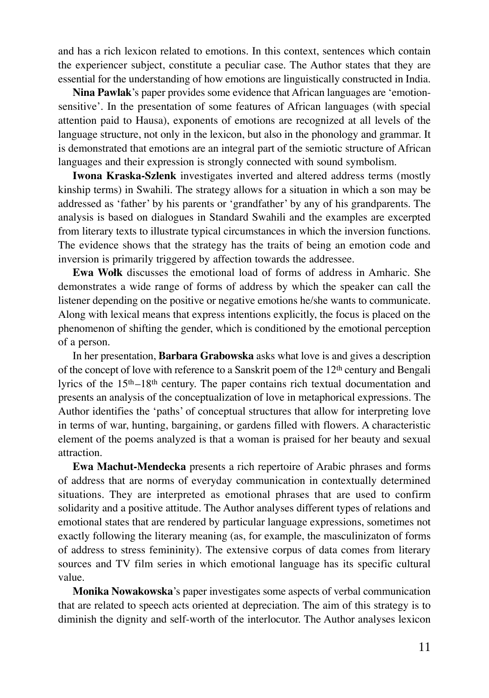and has a rich lexicon related to emotions. In this context, sentences which contain the experiencer subject, constitute a peculiar case. The Author states that they are essential for the understanding of how emotions are linguistically constructed in India.

**Nina Pawlak**'s paper provides some evidence that African languages are 'emotionsensitive'. In the presentation of some features of African languages (with special attention paid to Hausa), exponents of emotions are recognized at all levels of the language structure, not only in the lexicon, but also in the phonology and grammar. It is demonstrated that emotions are an integral part of the semiotic structure of African languages and their expression is strongly connected with sound symbolism.

**Iwona Kraska-Szlenk** investigates inverted and altered address terms (mostly kinship terms) in Swahili. The strategy allows for a situation in which a son may be addressed as 'father' by his parents or 'grandfather' by any of his grandparents. The analysis is based on dialogues in Standard Swahili and the examples are excerpted from literary texts to illustrate typical circumstances in which the inversion functions. The evidence shows that the strategy has the traits of being an emotion code and inversion is primarily triggered by affection towards the addressee.

**Ewa Wołk** discusses the emotional load of forms of address in Amharic. She demonstrates a wide range of forms of address by which the speaker can call the listener depending on the positive or negative emotions he/she wants to communicate. Along with lexical means that express intentions explicitly, the focus is placed on the phenomenon of shifting the gender, which is conditioned by the emotional perception of a person.

In her presentation, **Barbara Grabowska** asks what love is and gives a description of the concept of love with reference to a Sanskrit poem of the 12<sup>th</sup> century and Bengali lyrics of the 15th –18th century. The paper contains rich textual documentation and presents an analysis of the conceptualization of love in metaphorical expressions. The Author identifies the 'paths' of conceptual structures that allow for interpreting love in terms of war, hunting, bargaining, or gardens filled with flowers. A characteristic element of the poems analyzed is that a woman is praised for her beauty and sexual attraction.

**Ewa Machut-Mendecka** presents a rich repertoire of Arabic phrases and forms of address that are norms of everyday communication in contextually determined situations. They are interpreted as emotional phrases that are used to confirm solidarity and a positive attitude. The Author analyses different types of relations and emotional states that are rendered by particular language expressions, sometimes not exactly following the literary meaning (as, for example, the masculinizaton of forms of address to stress femininity). The extensive corpus of data comes from literary sources and TV film series in which emotional language has its specific cultural value.

**Monika Nowakowska**'s paper investigates some aspects of verbal communication that are related to speech acts oriented at depreciation. The aim of this strategy is to diminish the dignity and self-worth of the interlocutor. The Author analyses lexicon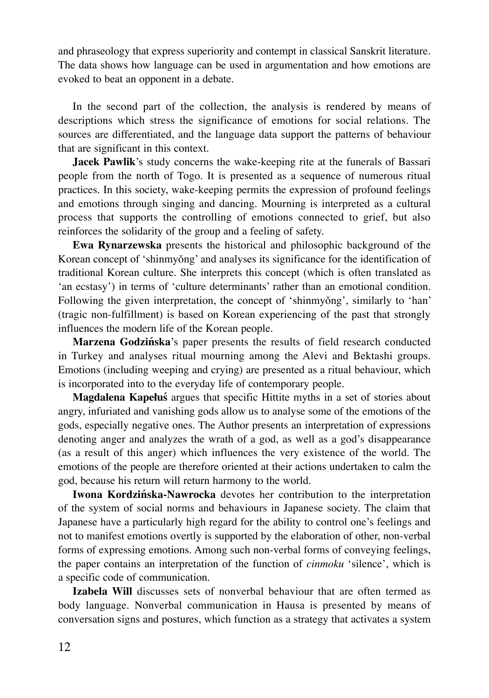and phraseology that express superiority and contempt in classical Sanskrit literature. The data shows how language can be used in argumentation and how emotions are evoked to beat an opponent in a debate.

In the second part of the collection, the analysis is rendered by means of descriptions which stress the significance of emotions for social relations. The sources are differentiated, and the language data support the patterns of behaviour that are significant in this context.

**Jacek Pawlik**'s study concerns the wake-keeping rite at the funerals of Bassari people from the north of Togo. It is presented as a sequence of numerous ritual practices. In this society, wake-keeping permits the expression of profound feelings and emotions through singing and dancing. Mourning is interpreted as a cultural process that supports the controlling of emotions connected to grief, but also reinforces the solidarity of the group and a feeling of safety.

**Ewa Rynarzewska** presents the historical and philosophic background of the Korean concept of 'shinmyǒng' and analyses its significance for the identification of traditional Korean culture. She interprets this concept (which is often translated as 'an ecstasy') in terms of 'culture determinants' rather than an emotional condition. Following the given interpretation, the concept of 'shinmyǒng', similarly to 'han' (tragic non-fulfillment) is based on Korean experiencing of the past that strongly influences the modern life of the Korean people.

**Marzena Godzińska**'s paper presents the results of field research conducted in Turkey and analyses ritual mourning among the Alevi and Bektashi groups. Emotions (including weeping and crying) are presented as a ritual behaviour, which is incorporated into to the everyday life of contemporary people.

**Magdalena Kapełuś** argues that specific Hittite myths in a set of stories about angry, infuriated and vanishing gods allow us to analyse some of the emotions of the gods, especially negative ones. The Author presents an interpretation of expressions denoting anger and analyzes the wrath of a god, as well as a god's disappearance (as a result of this anger) which influences the very existence of the world. The emotions of the people are therefore oriented at their actions undertaken to calm the god, because his return will return harmony to the world.

**Iwona Kordzińska-Nawrocka** devotes her contribution to the interpretation of the system of social norms and behaviours in Japanese society. The claim that Japanese have a particularly high regard for the ability to control one's feelings and not to manifest emotions overtly is supported by the elaboration of other, non-verbal forms of expressing emotions. Among such non-verbal forms of conveying feelings, the paper contains an interpretation of the function of *cinmoku* 'silence', which is a specific code of communication.

**Izabela Will** discusses sets of nonverbal behaviour that are often termed as body language. Nonverbal communication in Hausa is presented by means of conversation signs and postures, which function as a strategy that activates a system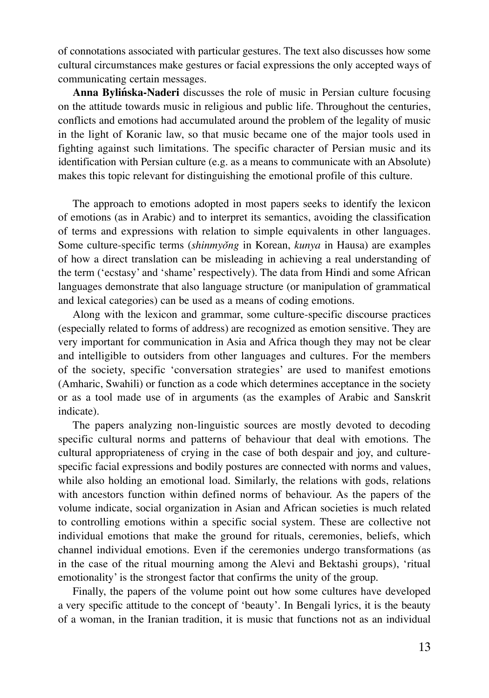of connotations associated with particular gestures. The text also discusses how some cultural circumstances make gestures or facial expressions the only accepted ways of communicating certain messages.

**Anna Bylińska-Naderi** discusses the role of music in Persian culture focusing on the attitude towards music in religious and public life. Throughout the centuries, conflicts and emotions had accumulated around the problem of the legality of music in the light of Koranic law, so that music became one of the major tools used in fighting against such limitations. The specific character of Persian music and its identification with Persian culture (e.g. as a means to communicate with an Absolute) makes this topic relevant for distinguishing the emotional profile of this culture.

The approach to emotions adopted in most papers seeks to identify the lexicon of emotions (as in Arabic) and to interpret its semantics, avoiding the classification of terms and expressions with relation to simple equivalents in other languages. Some culture-specific terms (*shinmyǒng* in Korean, *kunya* in Hausa) are examples of how a direct translation can be misleading in achieving a real understanding of the term ('ecstasy' and 'shame' respectively). The data from Hindi and some African languages demonstrate that also language structure (or manipulation of grammatical and lexical categories) can be used as a means of coding emotions.

Along with the lexicon and grammar, some culture-specific discourse practices (especially related to forms of address) are recognized as emotion sensitive. They are very important for communication in Asia and Africa though they may not be clear and intelligible to outsiders from other languages and cultures. For the members of the society, specific 'conversation strategies' are used to manifest emotions (Amharic, Swahili) or function as a code which determines acceptance in the society or as a tool made use of in arguments (as the examples of Arabic and Sanskrit indicate).

The papers analyzing non-linguistic sources are mostly devoted to decoding specific cultural norms and patterns of behaviour that deal with emotions. The cultural appropriateness of crying in the case of both despair and joy, and culturespecific facial expressions and bodily postures are connected with norms and values, while also holding an emotional load. Similarly, the relations with gods, relations with ancestors function within defined norms of behaviour. As the papers of the volume indicate, social organization in Asian and African societies is much related to controlling emotions within a specific social system. These are collective not individual emotions that make the ground for rituals, ceremonies, beliefs, which channel individual emotions. Even if the ceremonies undergo transformations (as in the case of the ritual mourning among the Alevi and Bektashi groups), 'ritual emotionality' is the strongest factor that confirms the unity of the group.

Finally, the papers of the volume point out how some cultures have developed a very specific attitude to the concept of 'beauty'. In Bengali lyrics, it is the beauty of a woman, in the Iranian tradition, it is music that functions not as an individual